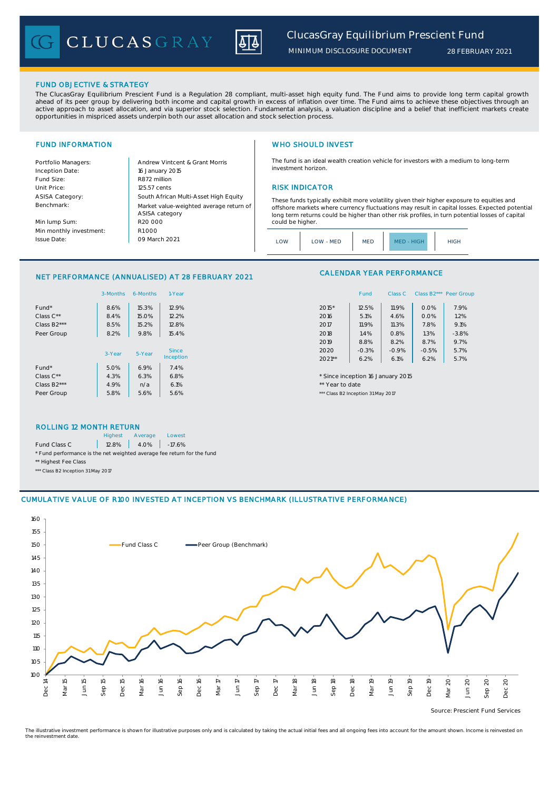CLUCASGRAY



# FUND OBJECTIVE & STRATEGY

The ClucasGray Equilibrium Prescient Fund is a Regulation 28 compliant, multi-asset high equity fund. The Fund aims to provide long term capital growth ahead of its peer group by delivering both income and capital growth in excess of inflation over time. The Fund aims to achieve these objectives through an<br>active approach to asset allocation, and via superior stock select opportunities in mispriced assets underpin both our asset allocation and stock selection process.

Inception Date: Fund Size: R872 million ASISA Category: Benchmark:

Min lump Sum: Min monthly investment: Issue Date:

Portfolio Managers: <br>Andrew Vintcent & Grant Morris Unit Price: 125.57 cents RISK INDICATOR South African Multi-Asset High Equity 16 January 2015 R20 000 Market value-weighted average return of ASISA category 09 March 2021  $R1000$ 

# FUND INFORMATION **WHO SHOULD INVEST**

The fund is an ideal wealth creation vehicle for investors with a medium to long-term investment horizon.

These funds typically exhibit more volatility given their higher exposure to equities and offshore markets where currency fluctuations may result in capital losses. Expected potential long term returns could be higher than other risk profiles, in turn potential losses of capital could be higher

# NET PERFORMANCE (ANNUALISED) AT 28 FEBRUARY 2021

|                          | 3-Months | 6-Months | 1-Year    | Class B2*** Peer Gro<br>Fund<br>Class C |         |
|--------------------------|----------|----------|-----------|-----------------------------------------|---------|
| Fund*                    | 8.6%     | 15.3%    | 12.9%     | 2015*<br>12.5%<br>11.9%<br>0.0%         | 7.9%    |
| Class C**                | 8.4%     | 15.0%    | 12.2%     | 0.0%<br>5.1%<br>2016<br>4.6%            | 1.2%    |
| Class B <sub>2</sub> *** | 8.5%     | 15.2%    | 12.8%     | 11.9%<br>7.8%<br>11.3%<br>2017          | 9.1%    |
| Peer Group               | 8.2%     | 9.8%     | 15.4%     | 1.3%<br>1.4%<br>2018<br>0.8%            | $-3.8%$ |
|                          |          |          |           | 8.7%<br>8.8%<br>8.2%<br>2019            | 9.7%    |
|                          | 3-Year   | 5-Year   | Since     | $-0.5%$<br>$-0.3%$<br>$-0.9%$<br>2020   | 5.7%    |
|                          |          |          | Inception | $2021**$<br>6.2%<br>6.1%<br>6.2%        | 5.7%    |
| Fund*                    | 5.0%     | 6.9%     | 7.4%      |                                         |         |
| Class C**                | 4.3%     | 6.3%     | 6.8%      | * Since inception 16 January 2015       |         |
| Class B <sub>2</sub> *** | 4.9%     | n/a      | 6.1%      | ** Year to date                         |         |
| Peer Group               | 5.8%     | 5.6%     | 5.6%      | *** Class B2 Inception 31 May 2017      |         |

# CALENDAR YEAR PERFORMANCE

| 1-Year  |          | Fund    | Class C | Class B <sub>2</sub> *** | Peer Group |
|---------|----------|---------|---------|--------------------------|------------|
| 12.9%   | 2015*    | 12.5%   | 11.9%   | 0.0%                     | 7.9%       |
| 12.2%   | 2016     | 5.1%    | 4.6%    | 0.0%                     | 1.2%       |
| 12.8%   | 2017     | 11.9%   | 11.3%   | 7.8%                     | 9.1%       |
| 15.4%   | 2018     | 1.4%    | 0.8%    | 1.3%                     | $-3.8%$    |
|         | 2019     | 8.8%    | 8.2%    | 8.7%                     | 9.7%       |
| Since   | 2020     | $-0.3%$ | $-0.9%$ | $-0.5%$                  | 5.7%       |
| ception | $2021**$ | 6.2%    | 6.1%    | 6.2%                     | 5.7%       |

## ROLLING 12 MONTH RETURN

|                                                                        | <b>Highest</b> | Average              | Lowest |  |  |
|------------------------------------------------------------------------|----------------|----------------------|--------|--|--|
| Fund Class C                                                           |                | $12.8\%$ 4.0% -17.6% |        |  |  |
| * Fund performance is the net weighted average fee return for the fund |                |                      |        |  |  |
| ** Highest Fee Class                                                   |                |                      |        |  |  |

\*\*\* Class B2 Inception 31 May 2017

# CUMULATIVE VALUE OF R100 INVESTED AT INCEPTION VS BENCHMARK (ILLUSTRATIVE PERFORMANCE)



Source: Prescient Fund Services

The illustrative investment performance is shown for illustrative purposes only and is calculated by taking the actual initial fees and all ongoing fees into account for the amount shown. Income is reinvested on the reinvestment date.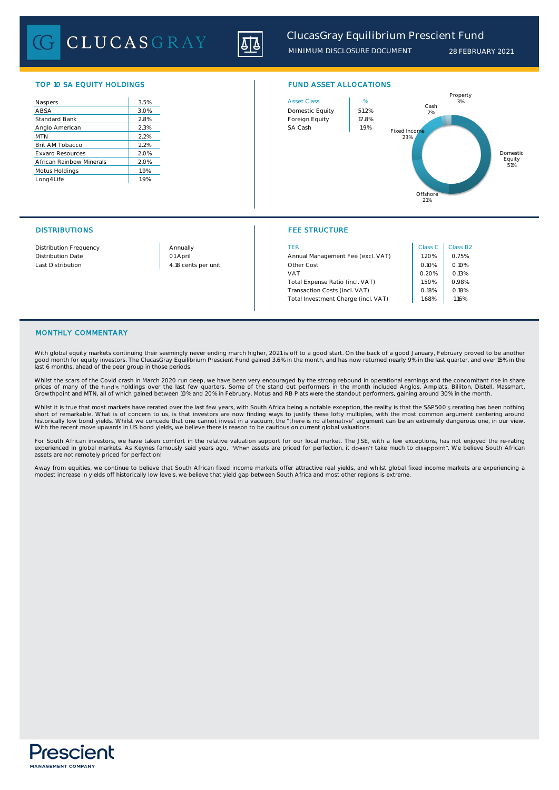CLUCASGRAY



| 3.5% |
|------|
| 3.0% |
| 2.8% |
| 2.3% |
| 2.2% |
| 2.2% |
| 2.0% |
| 2.0% |
| 1.9% |
| 1.9% |
|      |



# DISTRIBUTIONS FEE STRUCTURE

| Distribution Frequency | Annually            | <b>TER</b>                          | Class C | Class B |
|------------------------|---------------------|-------------------------------------|---------|---------|
| Distribution Date      | 01 April            | Annual Management Fee (excl. VAT)   | 1.20%   | 0.75%   |
| Last Distribution      | 4.18 cents per unit | Other Cost                          | 0.10%   | 0.10%   |
|                        |                     | VAT                                 | 0.20%   | 0.13%   |
|                        |                     | Total Expense Ratio (incl. VAT)     | 1.50%   | 0.98%   |
|                        |                     | Transaction Costs (incl. VAT)       | 0.18%   | 0.18%   |
|                        |                     | Total Investment Charge (incl. VAT) | 1.68%   | 1.16%   |

| Class C | Class B <sub>2</sub> |
|---------|----------------------|
| 1.20%   | 0.75%                |
| 0.10%   | 0.10%                |
| 0.20%   | 0.13%                |
| 1.50%   | 0.98%                |
| 0.18%   | 0.18%                |
| 1.68%   | 116%                 |

# MONTHLY COMMENTARY

With global equity markets continuing their seemingly never ending march higher, 2021 is off to a good start. On the back of a good January, February proved to be another good month for equity investors. The ClucasGray Equilibrium Prescient Fund gained 3.6% in the month, and has now returned nearly 9% in the last quarter, and over 15% in the<br>last 6 months, ahead of the peer group in those p

Whilst the scars of the Covid crash in March 2020 run deep, we have been very encouraged by the strong rebound in operational earnings and the concomitant rise in share<br>prices of many of the fund's holdings over the last f Growthpoint and MTN, all of which gained between 10% and 20% in February. Motus and RB Plats were the standout performers, gaining around 30% in the month.

Whilst it is true that most markets have rerated over the last few years, with South Africa being a notable exception, the reality is that the S&P500's rerating has been nothing short of remarkable. What is of concern to us, is that investors are now finding ways to justify these lofty multiples, with the most common argument centering around<br>historically low bond yields. Whilst we concede that on With the recent move upwards in US bond yields, we believe there is reason to be cautious on current global valuations.

For South African investors, we have taken comfort in the relative valuation support for our local market. The JSE, with a few exceptions, has not enjoyed the re-rating<br>experienced in global markets. As Keynes famously sai assets are not remotely priced for perfection!

Away from equities, we continue to believe that South African fixed income markets offer attractive real yields, and whilst global fixed income markets are experiencing a modest increase in yields off historically low levels, we believe that yield gap between South Africa and most other regions is extreme.